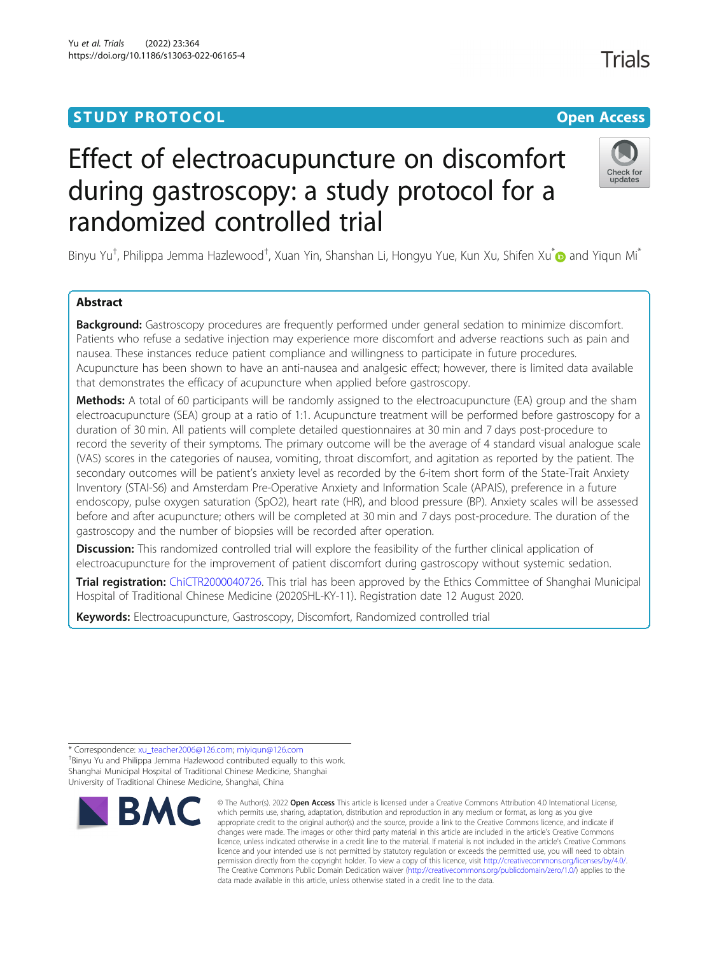# **STUDY PROTOCOL CONSUMING THE RESERVE ACCESS**

# Effect of electroacupuncture on discomfort during gastroscopy: a study protocol for a randomized controlled trial

Binyu Yu<sup>†</sup>, Philippa Jemma Hazlewood<sup>†</sup>, Xuan Yin, Shanshan Li, Hongyu Yue, Kun Xu, Shifen Xu<sup>\*</sup>@ and Yiqun Mi<sup>\*</sup>

# Abstract

Background: Gastroscopy procedures are frequently performed under general sedation to minimize discomfort. Patients who refuse a sedative injection may experience more discomfort and adverse reactions such as pain and nausea. These instances reduce patient compliance and willingness to participate in future procedures. Acupuncture has been shown to have an anti-nausea and analgesic effect; however, there is limited data available that demonstrates the efficacy of acupuncture when applied before gastroscopy.

Methods: A total of 60 participants will be randomly assigned to the electroacupuncture (EA) group and the sham electroacupuncture (SEA) group at a ratio of 1:1. Acupuncture treatment will be performed before gastroscopy for a duration of 30 min. All patients will complete detailed questionnaires at 30 min and 7 days post-procedure to record the severity of their symptoms. The primary outcome will be the average of 4 standard visual analogue scale (VAS) scores in the categories of nausea, vomiting, throat discomfort, and agitation as reported by the patient. The secondary outcomes will be patient's anxiety level as recorded by the 6-item short form of the State-Trait Anxiety Inventory (STAI-S6) and Amsterdam Pre-Operative Anxiety and Information Scale (APAIS), preference in a future endoscopy, pulse oxygen saturation (SpO2), heart rate (HR), and blood pressure (BP). Anxiety scales will be assessed before and after acupuncture; others will be completed at 30 min and 7 days post-procedure. The duration of the gastroscopy and the number of biopsies will be recorded after operation.

**Discussion:** This randomized controlled trial will explore the feasibility of the further clinical application of electroacupuncture for the improvement of patient discomfort during gastroscopy without systemic sedation.

Trial registration: [ChiCTR2000040726.](http://www.chictr.org.cn/searchproj.aspx?title=&officialname=&subjectid=&secondaryid=&applier=&studyleader=�icalcommitteesanction=&sponsor=&studyailment=&studyailmentcode=&studytype=0&studystage=0&studydesign=0&minstudyexecute) This trial has been approved by the Ethics Committee of Shanghai Municipal Hospital of Traditional Chinese Medicine (2020SHL-KY-11). Registration date 12 August 2020.

Keywords: Electroacupuncture, Gastroscopy, Discomfort, Randomized controlled trial

\* Correspondence: [xu\\_teacher2006@126.com;](mailto:xu_teacher2006@126.com) [miyiqun@126.com](mailto:miyiqun@126.com) † <sup>+</sup>Binyu Yu and Philippa Jemma Hazlewood contributed equally to this work. Shanghai Municipal Hospital of Traditional Chinese Medicine, Shanghai University of Traditional Chinese Medicine, Shanghai, China



<sup>©</sup> The Author(s), 2022 **Open Access** This article is licensed under a Creative Commons Attribution 4.0 International License, which permits use, sharing, adaptation, distribution and reproduction in any medium or format, as long as you give appropriate credit to the original author(s) and the source, provide a link to the Creative Commons licence, and indicate if changes were made. The images or other third party material in this article are included in the article's Creative Commons licence, unless indicated otherwise in a credit line to the material. If material is not included in the article's Creative Commons licence and your intended use is not permitted by statutory regulation or exceeds the permitted use, you will need to obtain permission directly from the copyright holder. To view a copy of this licence, visit [http://creativecommons.org/licenses/by/4.0/.](http://creativecommons.org/licenses/by/4.0/) The Creative Commons Public Domain Dedication waiver [\(http://creativecommons.org/publicdomain/zero/1.0/](http://creativecommons.org/publicdomain/zero/1.0/)) applies to the data made available in this article, unless otherwise stated in a credit line to the data.

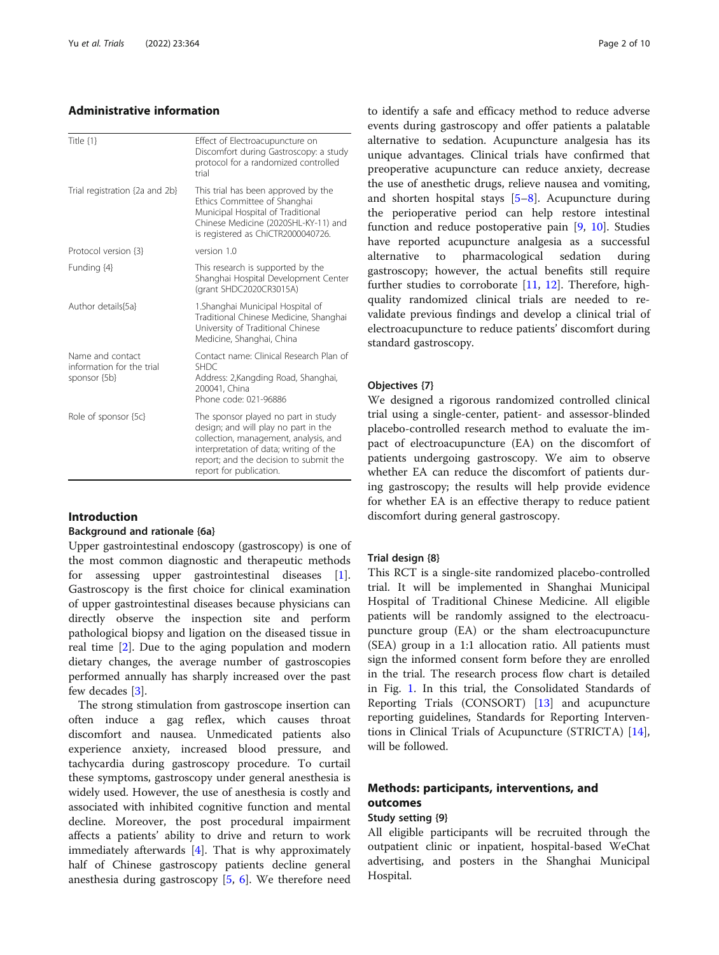# Administrative information

| Title {1}                                                     | Effect of Electroacupuncture on<br>Discomfort during Gastroscopy: a study<br>protocol for a randomized controlled<br>trial                                                                                                          |
|---------------------------------------------------------------|-------------------------------------------------------------------------------------------------------------------------------------------------------------------------------------------------------------------------------------|
| Trial registration {2a and 2b}                                | This trial has been approved by the<br>Ethics Committee of Shanghai<br>Municipal Hospital of Traditional<br>Chinese Medicine (2020SHL-KY-11) and<br>is registered as ChiCTR2000040726.                                              |
| Protocol version {3}                                          | version 10                                                                                                                                                                                                                          |
| Funding {4}                                                   | This research is supported by the<br>Shanghai Hospital Development Center<br>(grant SHDC2020CR3015A)                                                                                                                                |
| Author details {5a}                                           | 1. Shanghai Municipal Hospital of<br>Traditional Chinese Medicine, Shanghai<br>University of Traditional Chinese<br>Medicine, Shanghai, China                                                                                       |
| Name and contact<br>information for the trial<br>sponsor {5b} | Contact name: Clinical Research Plan of<br><b>SHDC</b><br>Address: 2, Kangding Road, Shanghai,<br>200041, China<br>Phone code: 021-96886                                                                                            |
| Role of sponsor {5c}                                          | The sponsor played no part in study<br>design; and will play no part in the<br>collection, management, analysis, and<br>interpretation of data; writing of the<br>report; and the decision to submit the<br>report for publication. |

# Introduction

#### Background and rationale {6a}

Upper gastrointestinal endoscopy (gastroscopy) is one of the most common diagnostic and therapeutic methods for assessing upper gastrointestinal diseases [\[1](#page-9-0)]. Gastroscopy is the first choice for clinical examination of upper gastrointestinal diseases because physicians can directly observe the inspection site and perform pathological biopsy and ligation on the diseased tissue in real time [\[2](#page-9-0)]. Due to the aging population and modern dietary changes, the average number of gastroscopies performed annually has sharply increased over the past few decades [[3\]](#page-9-0).

The strong stimulation from gastroscope insertion can often induce a gag reflex, which causes throat discomfort and nausea. Unmedicated patients also experience anxiety, increased blood pressure, and tachycardia during gastroscopy procedure. To curtail these symptoms, gastroscopy under general anesthesia is widely used. However, the use of anesthesia is costly and associated with inhibited cognitive function and mental decline. Moreover, the post procedural impairment affects a patients' ability to drive and return to work immediately afterwards [[4](#page-9-0)]. That is why approximately half of Chinese gastroscopy patients decline general anesthesia during gastroscopy [\[5](#page-9-0), [6](#page-9-0)]. We therefore need to identify a safe and efficacy method to reduce adverse events during gastroscopy and offer patients a palatable alternative to sedation. Acupuncture analgesia has its unique advantages. Clinical trials have confirmed that preoperative acupuncture can reduce anxiety, decrease the use of anesthetic drugs, relieve nausea and vomiting, and shorten hospital stays [[5](#page-9-0)–[8](#page-9-0)]. Acupuncture during the perioperative period can help restore intestinal function and reduce postoperative pain [\[9](#page-9-0), [10\]](#page-9-0). Studies have reported acupuncture analgesia as a successful alternative to pharmacological sedation during gastroscopy; however, the actual benefits still require further studies to corroborate [[11,](#page-9-0) [12\]](#page-9-0). Therefore, highquality randomized clinical trials are needed to revalidate previous findings and develop a clinical trial of electroacupuncture to reduce patients' discomfort during standard gastroscopy.

#### Objectives {7}

We designed a rigorous randomized controlled clinical trial using a single-center, patient- and assessor-blinded placebo-controlled research method to evaluate the impact of electroacupuncture (EA) on the discomfort of patients undergoing gastroscopy. We aim to observe whether EA can reduce the discomfort of patients during gastroscopy; the results will help provide evidence for whether EA is an effective therapy to reduce patient discomfort during general gastroscopy.

#### Trial design {8}

This RCT is a single-site randomized placebo-controlled trial. It will be implemented in Shanghai Municipal Hospital of Traditional Chinese Medicine. All eligible patients will be randomly assigned to the electroacupuncture group (EA) or the sham electroacupuncture (SEA) group in a 1:1 allocation ratio. All patients must sign the informed consent form before they are enrolled in the trial. The research process flow chart is detailed in Fig. [1.](#page-2-0) In this trial, the Consolidated Standards of Reporting Trials (CONSORT) [[13\]](#page-9-0) and acupuncture reporting guidelines, Standards for Reporting Interventions in Clinical Trials of Acupuncture (STRICTA) [\[14](#page-9-0)], will be followed.

# Methods: participants, interventions, and outcomes

#### Study setting {9}

All eligible participants will be recruited through the outpatient clinic or inpatient, hospital-based WeChat advertising, and posters in the Shanghai Municipal Hospital.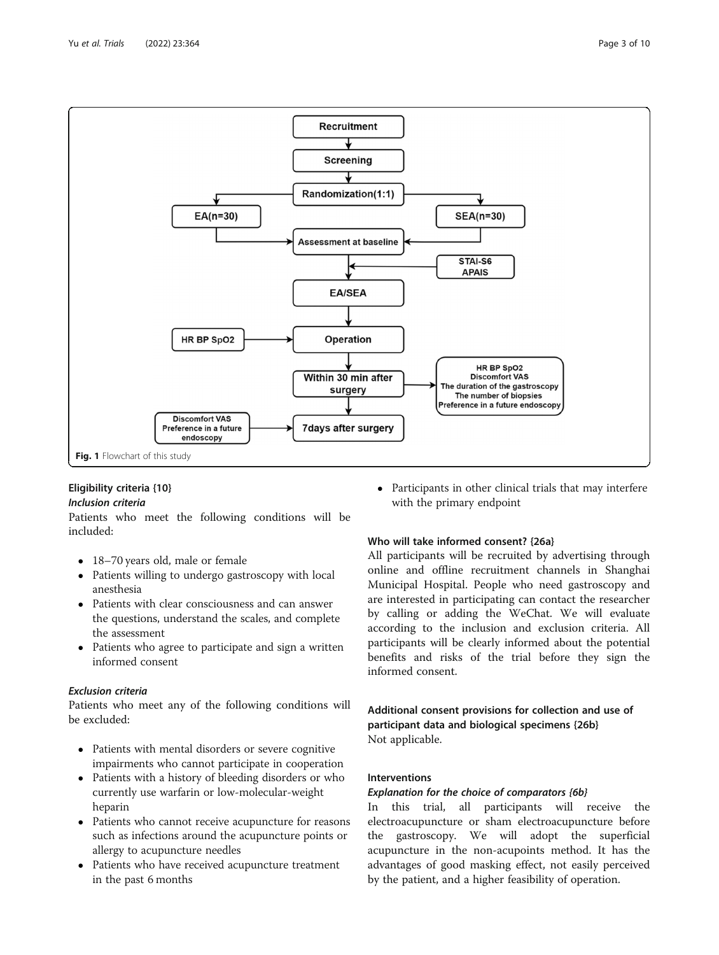<span id="page-2-0"></span>

# Eligibility criteria {10}

#### Inclusion criteria

Patients who meet the following conditions will be included:

- 18–70 years old, male or female
- Patients willing to undergo gastroscopy with local anesthesia
- Patients with clear consciousness and can answer the questions, understand the scales, and complete the assessment
- Patients who agree to participate and sign a written informed consent

# Exclusion criteria

Patients who meet any of the following conditions will be excluded:

- Patients with mental disorders or severe cognitive impairments who cannot participate in cooperation
- Patients with a history of bleeding disorders or who currently use warfarin or low-molecular-weight heparin
- Patients who cannot receive acupuncture for reasons such as infections around the acupuncture points or allergy to acupuncture needles
- Patients who have received acupuncture treatment in the past 6 months

 Participants in other clinical trials that may interfere with the primary endpoint

# Who will take informed consent? {26a}

All participants will be recruited by advertising through online and offline recruitment channels in Shanghai Municipal Hospital. People who need gastroscopy and are interested in participating can contact the researcher by calling or adding the WeChat. We will evaluate according to the inclusion and exclusion criteria. All participants will be clearly informed about the potential benefits and risks of the trial before they sign the informed consent.

Additional consent provisions for collection and use of participant data and biological specimens {26b} Not applicable.

# Interventions

# Explanation for the choice of comparators {6b}

In this trial, all participants will receive the electroacupuncture or sham electroacupuncture before the gastroscopy. We will adopt the superficial acupuncture in the non-acupoints method. It has the advantages of good masking effect, not easily perceived by the patient, and a higher feasibility of operation.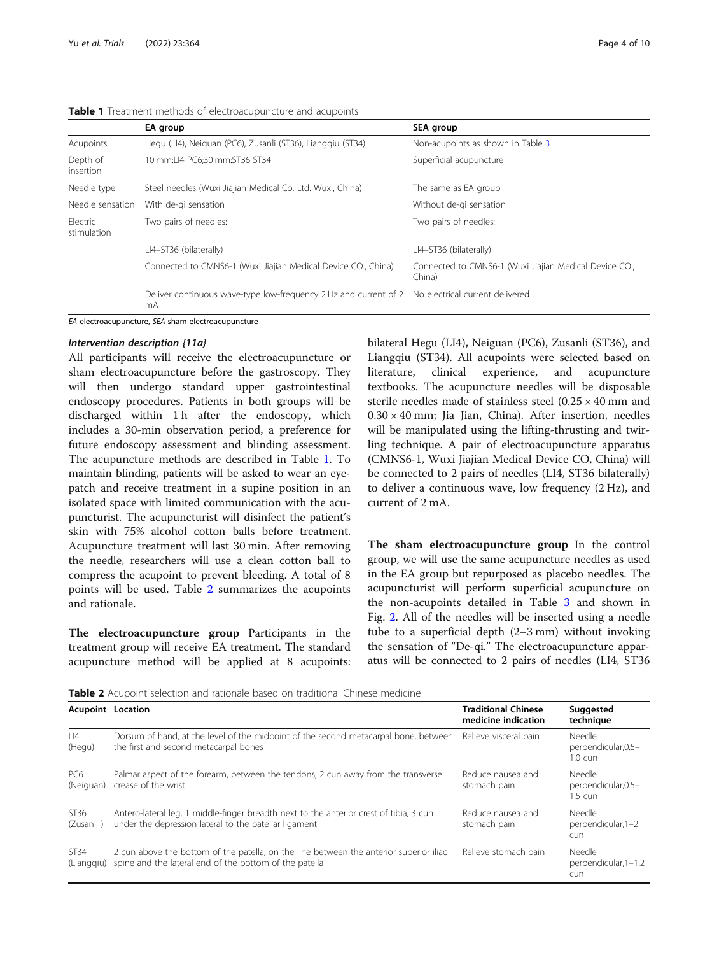|                         | EA group                                                               | SEA group                                                       |
|-------------------------|------------------------------------------------------------------------|-----------------------------------------------------------------|
| Acupoints               | Hegu (LI4), Neiguan (PC6), Zusanli (ST36), Lianggiu (ST34)             | Non-acupoints as shown in Table 3                               |
| Depth of<br>insertion   | 10 mm:LI4 PC6;30 mm:ST36 ST34                                          | Superficial acupuncture                                         |
| Needle type             | Steel needles (Wuxi Jiajian Medical Co. Ltd. Wuxi, China)              | The same as EA group                                            |
| Needle sensation        | With de-gi sensation                                                   | Without de-gi sensation                                         |
| Electric<br>stimulation | Two pairs of needles:                                                  | Two pairs of needles:                                           |
|                         | LI4-ST36 (bilaterally)                                                 | LI4-ST36 (bilaterally)                                          |
|                         | Connected to CMNS6-1 (Wuxi Jiajian Medical Device CO., China)          | Connected to CMNS6-1 (Wuxi Jiajian Medical Device CO.<br>China) |
|                         | Deliver continuous wave-type low-frequency 2 Hz and current of 2<br>mA | No electrical current delivered                                 |

#### Table 1 Treatment methods of electroacupuncture and acupoints

EA electroacupuncture, SEA sham electroacupuncture

#### Intervention description {11a}

All participants will receive the electroacupuncture or sham electroacupuncture before the gastroscopy. They will then undergo standard upper gastrointestinal endoscopy procedures. Patients in both groups will be discharged within 1 h after the endoscopy, which includes a 30-min observation period, a preference for future endoscopy assessment and blinding assessment. The acupuncture methods are described in Table 1. To maintain blinding, patients will be asked to wear an eyepatch and receive treatment in a supine position in an isolated space with limited communication with the acupuncturist. The acupuncturist will disinfect the patient's skin with 75% alcohol cotton balls before treatment. Acupuncture treatment will last 30 min. After removing the needle, researchers will use a clean cotton ball to compress the acupoint to prevent bleeding. A total of 8 points will be used. Table 2 summarizes the acupoints and rationale.

The electroacupuncture group Participants in the treatment group will receive EA treatment. The standard acupuncture method will be applied at 8 acupoints: bilateral Hegu (LI4), Neiguan (PC6), Zusanli (ST36), and Liangqiu (ST34). All acupoints were selected based on literature, clinical experience, and acupuncture textbooks. The acupuncture needles will be disposable sterile needles made of stainless steel  $(0.25 \times 40 \text{ mm and})$  $0.30 \times 40$  mm; Jia Jian, China). After insertion, needles will be manipulated using the lifting-thrusting and twirling technique. A pair of electroacupuncture apparatus (CMNS6-1, Wuxi Jiajian Medical Device CO, China) will be connected to 2 pairs of needles (LI4, ST36 bilaterally) to deliver a continuous wave, low frequency (2 Hz), and current of 2 mA.

The sham electroacupuncture group In the control group, we will use the same acupuncture needles as used in the EA group but repurposed as placebo needles. The acupuncturist will perform superficial acupuncture on the non-acupoints detailed in Table [3](#page-4-0) and shown in Fig. [2.](#page-5-0) All of the needles will be inserted using a needle tube to a superficial depth (2–3 mm) without invoking the sensation of "De-qi." The electroacupuncture apparatus will be connected to 2 pairs of needles (LI4, ST36

Table 2 Acupoint selection and rationale based on traditional Chinese medicine

|                              | <b>Acupoint Location</b>                                                                                                                         | <b>Traditional Chinese</b><br>medicine indication | Suggested<br>technique                              |
|------------------------------|--------------------------------------------------------------------------------------------------------------------------------------------------|---------------------------------------------------|-----------------------------------------------------|
| LI4<br>(Hegu)                | Dorsum of hand, at the level of the midpoint of the second metacarpal bone, between<br>the first and second metacarpal bones                     | Relieve visceral pain                             | Needle<br>perpendicular, 0.5-<br>$1.0 \text{ c}$ un |
| PC <sub>6</sub><br>(Neiguan) | Palmar aspect of the forearm, between the tendons, 2 cun away from the transverse<br>crease of the wrist                                         | Reduce nausea and<br>stomach pain                 | Needle<br>perpendicular, 0.5-<br>1.5 cun            |
| ST36<br>(Zusanli)            | Antero-lateral leg, 1 middle-finger breadth next to the anterior crest of tibia, 3 cun<br>under the depression lateral to the patellar ligament  | Reduce nausea and<br>stomach pain                 | Needle<br>perpendicular, 1-2<br>cun                 |
| ST34<br>(Lianggiu)           | 2 cun above the bottom of the patella, on the line between the anterior superior iliac<br>spine and the lateral end of the bottom of the patella | Relieve stomach pain                              | Needle<br>perpendicular, 1-1.2<br>cun               |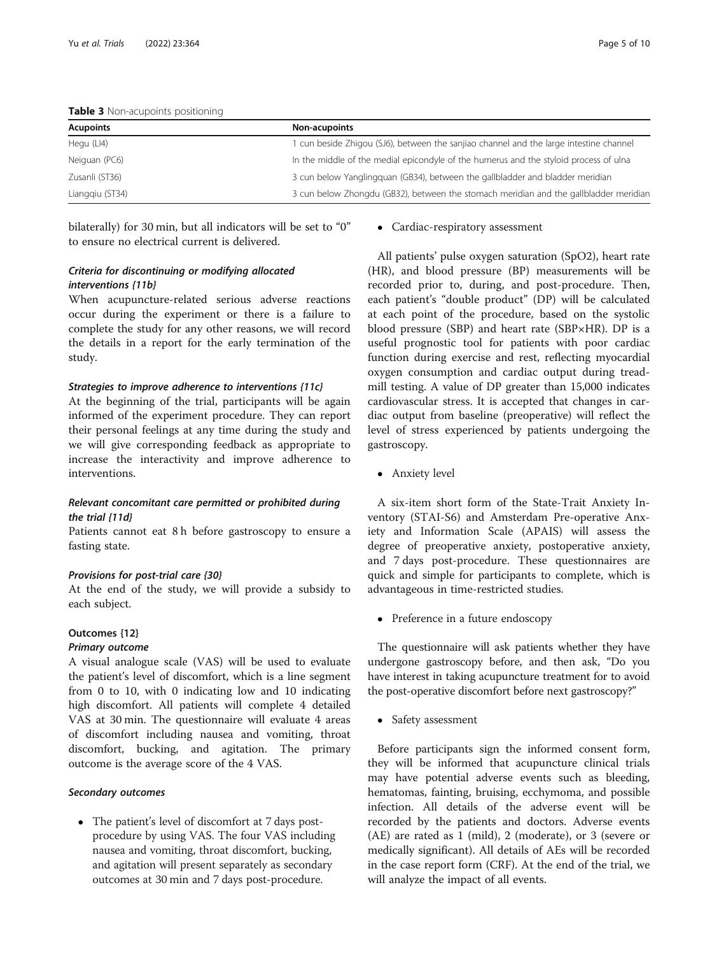| <b>NUMBER OF LIGHT ACCOMMENDED</b> |                                                                                        |  |  |  |
|------------------------------------|----------------------------------------------------------------------------------------|--|--|--|
| <b>Acupoints</b>                   | Non-acupoints                                                                          |  |  |  |
| Hegu (LI4)                         | I cun beside Zhigou (SJ6), between the sanjiao channel and the large intestine channel |  |  |  |
| Neiguan (PC6)                      | In the middle of the medial epicondyle of the humerus and the styloid process of ulna  |  |  |  |
| Zusanli (ST36)                     | 3 cun below Yanglingguan (GB34), between the gallbladder and bladder meridian          |  |  |  |
| Lianggiu (ST34)                    | 3 cun below Zhongdu (GB32), between the stomach meridian and the gallbladder meridian  |  |  |  |
|                                    |                                                                                        |  |  |  |

<span id="page-4-0"></span>Table 3 Non-acupoints positioning

bilaterally) for 30 min, but all indicators will be set to "0" to ensure no electrical current is delivered.

# Criteria for discontinuing or modifying allocated interventions {11b}

When acupuncture-related serious adverse reactions occur during the experiment or there is a failure to complete the study for any other reasons, we will record the details in a report for the early termination of the study.

#### Strategies to improve adherence to interventions {11c}

At the beginning of the trial, participants will be again informed of the experiment procedure. They can report their personal feelings at any time during the study and we will give corresponding feedback as appropriate to increase the interactivity and improve adherence to interventions.

# Relevant concomitant care permitted or prohibited during the trial {11d}

Patients cannot eat 8 h before gastroscopy to ensure a fasting state.

#### Provisions for post-trial care {30}

At the end of the study, we will provide a subsidy to each subject.

#### Outcomes {12}

# Primary outcome

A visual analogue scale (VAS) will be used to evaluate the patient's level of discomfort, which is a line segment from 0 to 10, with 0 indicating low and 10 indicating high discomfort. All patients will complete 4 detailed VAS at 30 min. The questionnaire will evaluate 4 areas of discomfort including nausea and vomiting, throat discomfort, bucking, and agitation. The primary outcome is the average score of the 4 VAS.

#### Secondary outcomes

 The patient's level of discomfort at 7 days postprocedure by using VAS. The four VAS including nausea and vomiting, throat discomfort, bucking, and agitation will present separately as secondary outcomes at 30 min and 7 days post-procedure.

#### • Cardiac-respiratory assessment

All patients' pulse oxygen saturation (SpO2), heart rate (HR), and blood pressure (BP) measurements will be recorded prior to, during, and post-procedure. Then, each patient's "double product" (DP) will be calculated at each point of the procedure, based on the systolic blood pressure (SBP) and heart rate (SBP×HR). DP is a useful prognostic tool for patients with poor cardiac function during exercise and rest, reflecting myocardial oxygen consumption and cardiac output during treadmill testing. A value of DP greater than 15,000 indicates cardiovascular stress. It is accepted that changes in cardiac output from baseline (preoperative) will reflect the level of stress experienced by patients undergoing the gastroscopy.

Anxiety level

A six-item short form of the State-Trait Anxiety Inventory (STAI-S6) and Amsterdam Pre-operative Anxiety and Information Scale (APAIS) will assess the degree of preoperative anxiety, postoperative anxiety, and 7 days post-procedure. These questionnaires are quick and simple for participants to complete, which is advantageous in time-restricted studies.

• Preference in a future endoscopy

The questionnaire will ask patients whether they have undergone gastroscopy before, and then ask, "Do you have interest in taking acupuncture treatment for to avoid the post-operative discomfort before next gastroscopy?"

• Safety assessment

Before participants sign the informed consent form, they will be informed that acupuncture clinical trials may have potential adverse events such as bleeding, hematomas, fainting, bruising, ecchymoma, and possible infection. All details of the adverse event will be recorded by the patients and doctors. Adverse events (AE) are rated as 1 (mild), 2 (moderate), or 3 (severe or medically significant). All details of AEs will be recorded in the case report form (CRF). At the end of the trial, we will analyze the impact of all events.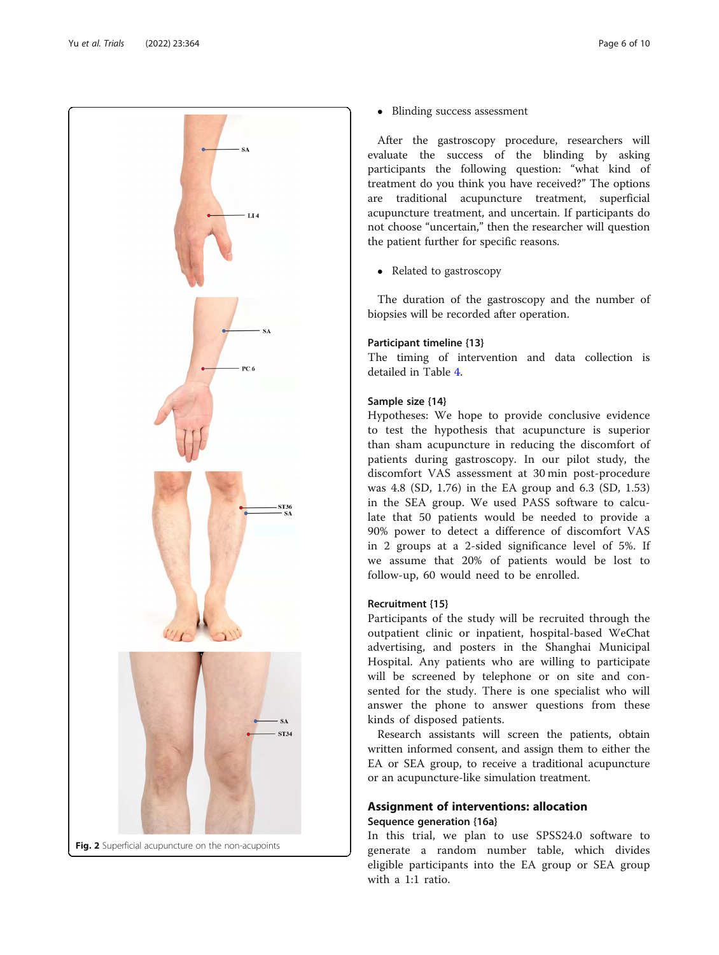<span id="page-5-0"></span>

• Blinding success assessment

After the gastroscopy procedure, researchers will evaluate the success of the blinding by asking participants the following question: "what kind of treatment do you think you have received?" The options are traditional acupuncture treatment, superficial acupuncture treatment, and uncertain. If participants do not choose "uncertain," then the researcher will question the patient further for specific reasons.

• Related to gastroscopy

The duration of the gastroscopy and the number of biopsies will be recorded after operation.

# Participant timeline {13}

The timing of intervention and data collection is detailed in Table [4](#page-6-0).

#### Sample size {14}

Hypotheses: We hope to provide conclusive evidence to test the hypothesis that acupuncture is superior than sham acupuncture in reducing the discomfort of patients during gastroscopy. In our pilot study, the discomfort VAS assessment at 30 min post-procedure was 4.8 (SD, 1.76) in the EA group and 6.3 (SD, 1.53) in the SEA group. We used PASS software to calculate that 50 patients would be needed to provide a 90% power to detect a difference of discomfort VAS in 2 groups at a 2-sided significance level of 5%. If we assume that 20% of patients would be lost to follow-up, 60 would need to be enrolled.

#### Recruitment {15}

Participants of the study will be recruited through the outpatient clinic or inpatient, hospital-based WeChat advertising, and posters in the Shanghai Municipal Hospital. Any patients who are willing to participate will be screened by telephone or on site and consented for the study. There is one specialist who will answer the phone to answer questions from these kinds of disposed patients.

Research assistants will screen the patients, obtain written informed consent, and assign them to either the EA or SEA group, to receive a traditional acupuncture or an acupuncture-like simulation treatment.

# Assignment of interventions: allocation Sequence generation {16a}

In this trial, we plan to use SPSS24.0 software to generate a random number table, which divides eligible participants into the EA group or SEA group with a 1:1 ratio.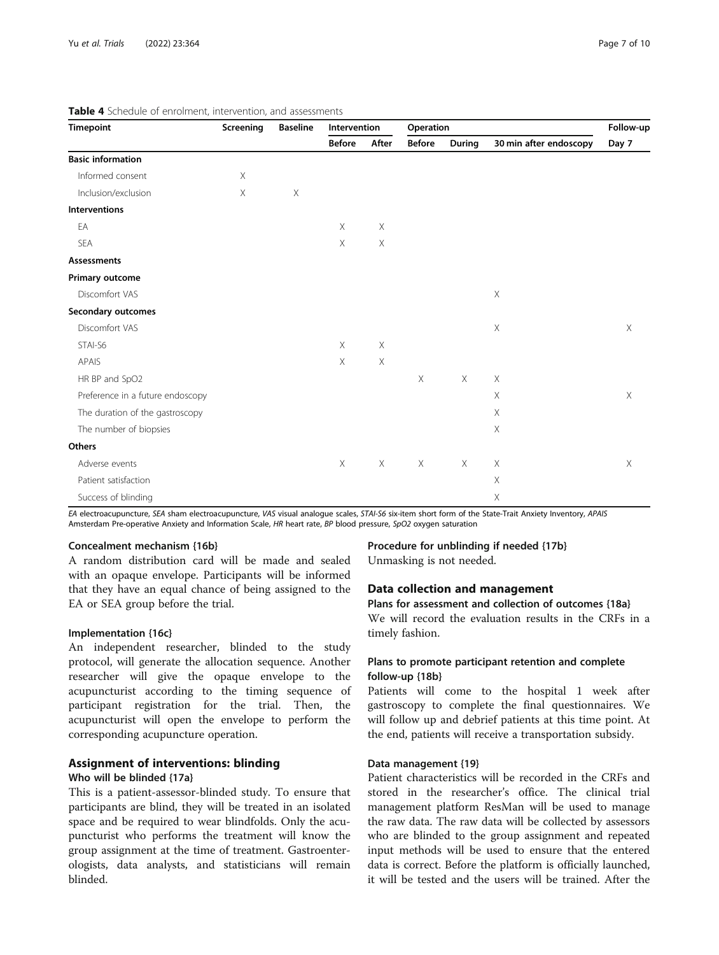| <b>Timepoint</b>                 | Screening   | <b>Baseline</b> | Intervention  |                       | Operation     |          |                           | Follow-up |
|----------------------------------|-------------|-----------------|---------------|-----------------------|---------------|----------|---------------------------|-----------|
|                                  |             |                 | <b>Before</b> | After                 | <b>Before</b> | During   | 30 min after endoscopy    | Day 7     |
| <b>Basic information</b>         |             |                 |               |                       |               |          |                           |           |
| Informed consent                 | $\times$    |                 |               |                       |               |          |                           |           |
| Inclusion/exclusion              | $\mathsf X$ | $\mathsf X$     |               |                       |               |          |                           |           |
| <b>Interventions</b>             |             |                 |               |                       |               |          |                           |           |
| EA                               |             |                 | $\times$      | $\mathsf X$           |               |          |                           |           |
| SEA                              |             |                 | $\mathsf X$   | $\boldsymbol{\times}$ |               |          |                           |           |
| <b>Assessments</b>               |             |                 |               |                       |               |          |                           |           |
| Primary outcome                  |             |                 |               |                       |               |          |                           |           |
| Discomfort VAS                   |             |                 |               |                       |               |          | $\mathsf X$               |           |
| Secondary outcomes               |             |                 |               |                       |               |          |                           |           |
| Discomfort VAS                   |             |                 |               |                       |               |          | $\mathsf X$               | X         |
| STAI-S6                          |             |                 | $\times$      | $\boldsymbol{\times}$ |               |          |                           |           |
| APAIS                            |             |                 | $\times$      | $\boldsymbol{\times}$ |               |          |                           |           |
| HR BP and SpO2                   |             |                 |               |                       | $\times$      | $\times$ | X                         |           |
| Preference in a future endoscopy |             |                 |               |                       |               |          | $\mathsf X$               | $\times$  |
| The duration of the gastroscopy  |             |                 |               |                       |               |          | $\times$                  |           |
| The number of biopsies           |             |                 |               |                       |               |          | $\mathsf X$               |           |
| Others                           |             |                 |               |                       |               |          |                           |           |
| Adverse events                   |             |                 | $\times$      | $\times$              | $\times$      | $\times$ | X                         | X         |
| Patient satisfaction             |             |                 |               |                       |               |          | $\times$                  |           |
| Success of blinding              |             |                 |               |                       |               |          | $\boldsymbol{\mathsf{X}}$ |           |

#### <span id="page-6-0"></span>Table 4 Schedule of enrolment, intervention, and assessments

EA electroacupuncture, SEA sham electroacupuncture, VAS visual analogue scales, STAI-S6 six-item short form of the State-Trait Anxiety Inventory, APAIS Amsterdam Pre-operative Anxiety and Information Scale, HR heart rate, BP blood pressure, SpO2 oxygen saturation

# Concealment mechanism {16b}

A random distribution card will be made and sealed with an opaque envelope. Participants will be informed that they have an equal chance of being assigned to the EA or SEA group before the trial.

#### Implementation {16c}

An independent researcher, blinded to the study protocol, will generate the allocation sequence. Another researcher will give the opaque envelope to the acupuncturist according to the timing sequence of participant registration for the trial. Then, the acupuncturist will open the envelope to perform the corresponding acupuncture operation.

# Assignment of interventions: blinding

#### Who will be blinded {17a}

This is a patient-assessor-blinded study. To ensure that participants are blind, they will be treated in an isolated space and be required to wear blindfolds. Only the acupuncturist who performs the treatment will know the group assignment at the time of treatment. Gastroenterologists, data analysts, and statisticians will remain blinded.

Procedure for unblinding if needed {17b} Unmasking is not needed.

#### Data collection and management

# Plans for assessment and collection of outcomes {18a}

We will record the evaluation results in the CRFs in a timely fashion.

# Plans to promote participant retention and complete follow-up {18b}

Patients will come to the hospital 1 week after gastroscopy to complete the final questionnaires. We will follow up and debrief patients at this time point. At the end, patients will receive a transportation subsidy.

#### Data management {19}

Patient characteristics will be recorded in the CRFs and stored in the researcher's office. The clinical trial management platform ResMan will be used to manage the raw data. The raw data will be collected by assessors who are blinded to the group assignment and repeated input methods will be used to ensure that the entered data is correct. Before the platform is officially launched, it will be tested and the users will be trained. After the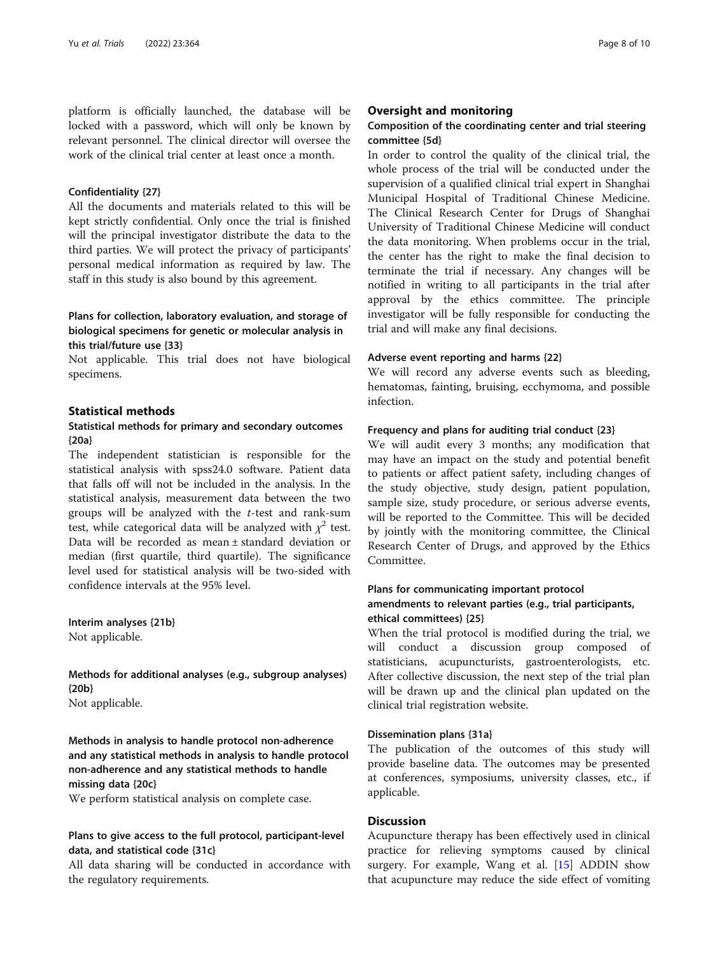platform is officially launched, the database will be locked with a password, which will only be known by relevant personnel. The clinical director will oversee the work of the clinical trial center at least once a month.

#### Confidentiality {27}

All the documents and materials related to this will be kept strictly confidential. Only once the trial is finished will the principal investigator distribute the data to the third parties. We will protect the privacy of participants' personal medical information as required by law. The staff in this study is also bound by this agreement.

# Plans for collection, laboratory evaluation, and storage of biological specimens for genetic or molecular analysis in this trial/future use {33}

Not applicable. This trial does not have biological specimens.

#### Statistical methods

# Statistical methods for primary and secondary outcomes {20a}

The independent statistician is responsible for the statistical analysis with spss24.0 software. Patient data that falls off will not be included in the analysis. In the statistical analysis, measurement data between the two groups will be analyzed with the  $t$ -test and rank-sum test, while categorical data will be analyzed with  $\chi^2$  test. Data will be recorded as mean ± standard deviation or median (first quartile, third quartile). The significance level used for statistical analysis will be two-sided with confidence intervals at the 95% level.

Interim analyses {21b} Not applicable.

# Methods for additional analyses (e.g., subgroup analyses) {20b}

Not applicable.

Methods in analysis to handle protocol non-adherence and any statistical methods in analysis to handle protocol non-adherence and any statistical methods to handle missing data {20c}

We perform statistical analysis on complete case.

# Plans to give access to the full protocol, participant-level data, and statistical code {31c}

All data sharing will be conducted in accordance with the regulatory requirements.

#### Oversight and monitoring

# Composition of the coordinating center and trial steering committee {5d}

In order to control the quality of the clinical trial, the whole process of the trial will be conducted under the supervision of a qualified clinical trial expert in Shanghai Municipal Hospital of Traditional Chinese Medicine. The Clinical Research Center for Drugs of Shanghai University of Traditional Chinese Medicine will conduct the data monitoring. When problems occur in the trial, the center has the right to make the final decision to terminate the trial if necessary. Any changes will be notified in writing to all participants in the trial after approval by the ethics committee. The principle investigator will be fully responsible for conducting the trial and will make any final decisions.

#### Adverse event reporting and harms {22}

We will record any adverse events such as bleeding, hematomas, fainting, bruising, ecchymoma, and possible infection.

#### Frequency and plans for auditing trial conduct {23}

We will audit every 3 months; any modification that may have an impact on the study and potential benefit to patients or affect patient safety, including changes of the study objective, study design, patient population, sample size, study procedure, or serious adverse events, will be reported to the Committee. This will be decided by jointly with the monitoring committee, the Clinical Research Center of Drugs, and approved by the Ethics Committee.

# Plans for communicating important protocol amendments to relevant parties (e.g., trial participants, ethical committees) {25}

When the trial protocol is modified during the trial, we will conduct a discussion group composed of statisticians, acupuncturists, gastroenterologists, etc. After collective discussion, the next step of the trial plan will be drawn up and the clinical plan updated on the clinical trial registration website.

#### Dissemination plans {31a}

The publication of the outcomes of this study will provide baseline data. The outcomes may be presented at conferences, symposiums, university classes, etc., if applicable.

# **Discussion**

Acupuncture therapy has been effectively used in clinical practice for relieving symptoms caused by clinical surgery. For example, Wang et al. [\[15\]](#page-9-0) ADDIN show that acupuncture may reduce the side effect of vomiting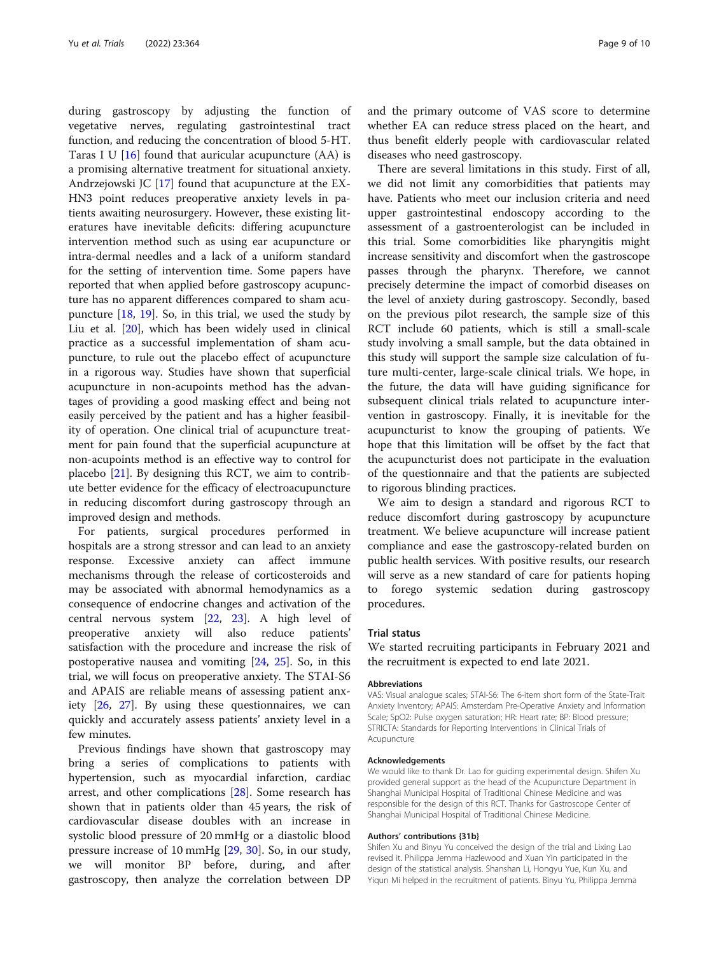during gastroscopy by adjusting the function of vegetative nerves, regulating gastrointestinal tract function, and reducing the concentration of blood 5-HT. Taras I U  $[16]$  $[16]$  found that auricular acupuncture (AA) is a promising alternative treatment for situational anxiety. Andrzejowski JC [\[17](#page-9-0)] found that acupuncture at the EX-HN3 point reduces preoperative anxiety levels in patients awaiting neurosurgery. However, these existing literatures have inevitable deficits: differing acupuncture intervention method such as using ear acupuncture or intra-dermal needles and a lack of a uniform standard for the setting of intervention time. Some papers have reported that when applied before gastroscopy acupuncture has no apparent differences compared to sham acupuncture  $[18, 19]$  $[18, 19]$  $[18, 19]$ . So, in this trial, we used the study by Liu et al. [[20\]](#page-9-0), which has been widely used in clinical practice as a successful implementation of sham acupuncture, to rule out the placebo effect of acupuncture in a rigorous way. Studies have shown that superficial acupuncture in non-acupoints method has the advantages of providing a good masking effect and being not easily perceived by the patient and has a higher feasibility of operation. One clinical trial of acupuncture treatment for pain found that the superficial acupuncture at non-acupoints method is an effective way to control for placebo [[21](#page-9-0)]. By designing this RCT, we aim to contribute better evidence for the efficacy of electroacupuncture in reducing discomfort during gastroscopy through an improved design and methods.

For patients, surgical procedures performed in hospitals are a strong stressor and can lead to an anxiety response. Excessive anxiety can affect immune mechanisms through the release of corticosteroids and may be associated with abnormal hemodynamics as a consequence of endocrine changes and activation of the central nervous system [[22,](#page-9-0) [23\]](#page-9-0). A high level of preoperative anxiety will also reduce patients' satisfaction with the procedure and increase the risk of postoperative nausea and vomiting [[24,](#page-9-0) [25](#page-9-0)]. So, in this trial, we will focus on preoperative anxiety. The STAI-S6 and APAIS are reliable means of assessing patient anxiety [[26](#page-9-0), [27](#page-9-0)]. By using these questionnaires, we can quickly and accurately assess patients' anxiety level in a few minutes.

Previous findings have shown that gastroscopy may bring a series of complications to patients with hypertension, such as myocardial infarction, cardiac arrest, and other complications [[28\]](#page-9-0). Some research has shown that in patients older than 45 years, the risk of cardiovascular disease doubles with an increase in systolic blood pressure of 20 mmHg or a diastolic blood pressure increase of 10 mmHg [[29](#page-9-0), [30\]](#page-9-0). So, in our study, we will monitor BP before, during, and after gastroscopy, then analyze the correlation between DP

and the primary outcome of VAS score to determine whether EA can reduce stress placed on the heart, and thus benefit elderly people with cardiovascular related diseases who need gastroscopy.

There are several limitations in this study. First of all, we did not limit any comorbidities that patients may have. Patients who meet our inclusion criteria and need upper gastrointestinal endoscopy according to the assessment of a gastroenterologist can be included in this trial. Some comorbidities like pharyngitis might increase sensitivity and discomfort when the gastroscope passes through the pharynx. Therefore, we cannot precisely determine the impact of comorbid diseases on the level of anxiety during gastroscopy. Secondly, based on the previous pilot research, the sample size of this RCT include 60 patients, which is still a small-scale study involving a small sample, but the data obtained in this study will support the sample size calculation of future multi-center, large-scale clinical trials. We hope, in the future, the data will have guiding significance for subsequent clinical trials related to acupuncture intervention in gastroscopy. Finally, it is inevitable for the acupuncturist to know the grouping of patients. We hope that this limitation will be offset by the fact that the acupuncturist does not participate in the evaluation of the questionnaire and that the patients are subjected to rigorous blinding practices.

We aim to design a standard and rigorous RCT to reduce discomfort during gastroscopy by acupuncture treatment. We believe acupuncture will increase patient compliance and ease the gastroscopy-related burden on public health services. With positive results, our research will serve as a new standard of care for patients hoping to forego systemic sedation during gastroscopy procedures.

#### Trial status

We started recruiting participants in February 2021 and the recruitment is expected to end late 2021.

#### Abbreviations

VAS: Visual analogue scales; STAI-S6: The 6-item short form of the State-Trait Anxiety Inventory; APAIS: Amsterdam Pre-Operative Anxiety and Information Scale; SpO2: Pulse oxygen saturation; HR: Heart rate; BP: Blood pressure; STRICTA: Standards for Reporting Interventions in Clinical Trials of Acupuncture

#### Acknowledgements

We would like to thank Dr. Lao for guiding experimental design. Shifen Xu provided general support as the head of the Acupuncture Department in Shanghai Municipal Hospital of Traditional Chinese Medicine and was responsible for the design of this RCT. Thanks for Gastroscope Center of Shanghai Municipal Hospital of Traditional Chinese Medicine.

#### Authors' contributions {31b}

Shifen Xu and Binyu Yu conceived the design of the trial and Lixing Lao revised it. Philippa Jemma Hazlewood and Xuan Yin participated in the design of the statistical analysis. Shanshan Li, Hongyu Yue, Kun Xu, and Yiqun Mi helped in the recruitment of patients. Binyu Yu, Philippa Jemma